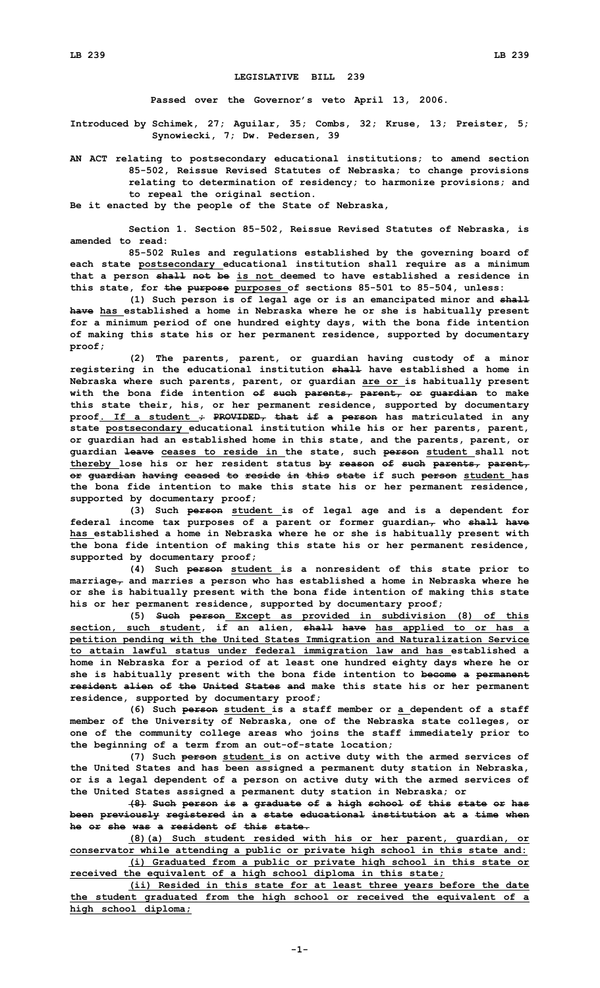## **LEGISLATIVE BILL 239**

**Passed over the Governor's veto April 13, 2006.**

**Introduced by Schimek, 27; Aguilar, 35; Combs, 32; Kruse, 13; Preister, 5; Synowiecki, 7; Dw. Pedersen, 39**

**AN ACT relating to postsecondary educational institutions; to amend section 85-502, Reissue Revised Statutes of Nebraska; to change provisions relating to determination of residency; to harmonize provisions; and to repeal the original section.**

**Be it enacted by the people of the State of Nebraska,**

**Section 1. Section 85-502, Reissue Revised Statutes of Nebraska, is amended to read:**

**85-502 Rules and regulations established by the governing board of each state postsecondary educational institution shall require as <sup>a</sup> minimum that <sup>a</sup> person shall not be is not deemed to have established <sup>a</sup> residence in this state, for the purpose purposes of sections 85-501 to 85-504, unless:**

**(1) Such person is of legal age or is an emancipated minor and shall have has established <sup>a</sup> home in Nebraska where he or she is habitually present for <sup>a</sup> minimum period of one hundred eighty days, with the bona fide intention of making this state his or her permanent residence, supported by documentary proof;**

**(2) The parents, parent, or guardian having custody of <sup>a</sup> minor registering in the educational institution shall have established <sup>a</sup> home in Nebraska where such parents, parent, or guardian are or is habitually present with the bona fide intention of such parents, parent, or guardian to make this state their, his, or her permanent residence, supported by documentary proof. If <sup>a</sup> student ; PROVIDED, that if <sup>a</sup> person has matriculated in any state postsecondary educational institution while his or her parents, parent, or guardian had an established home in this state, and the parents, parent, or guardian leave ceases to reside in the state, such person student shall not thereby lose his or her resident status by reason of such parents, parent, or guardian having ceased to reside in this state if such person student has the bona fide intention to make this state his or her permanent residence, supported by documentary proof;**

**(3) Such person student is of legal age and is <sup>a</sup> dependent for federal income tax purposes of <sup>a</sup> parent or former guardian, who shall have has established <sup>a</sup> home in Nebraska where he or she is habitually present with the bona fide intention of making this state his or her permanent residence, supported by documentary proof;**

**(4) Such person student is <sup>a</sup> nonresident of this state prior to marriage, and marries <sup>a</sup> person who has established <sup>a</sup> home in Nebraska where he or she is habitually present with the bona fide intention of making this state his or her permanent residence, supported by documentary proof;**

**(5) Such person Except as provided in subdivision (8) of this section, such student, if an alien, shall have has applied to or has <sup>a</sup> petition pending with the United States Immigration and Naturalization Service to attain lawful status under federal immigration law and has established <sup>a</sup> home in Nebraska for <sup>a</sup> period of at least one hundred eighty days where he or she is habitually present with the bona fide intention to become <sup>a</sup> permanent resident alien of the United States and make this state his or her permanent residence, supported by documentary proof;**

**(6) Such person student is <sup>a</sup> staff member or <sup>a</sup> dependent of <sup>a</sup> staff member of the University of Nebraska, one of the Nebraska state colleges, or one of the community college areas who joins the staff immediately prior to the beginning of <sup>a</sup> term from an out-of-state location;**

**(7) Such person student is on active duty with the armed services of the United States and has been assigned <sup>a</sup> permanent duty station in Nebraska, or is <sup>a</sup> legal dependent of <sup>a</sup> person on active duty with the armed services of the United States assigned <sup>a</sup> permanent duty station in Nebraska; or**

**(8) Such person is <sup>a</sup> graduate of <sup>a</sup> high school of this state or has been previously registered in <sup>a</sup> state educational institution at <sup>a</sup> time when he or she was a resident of this state.**

**(8)(a) Such student resided with his or her parent, guardian, or conservator while attending <sup>a</sup> public or private high school in this state and:**

**(i) Graduated from <sup>a</sup> public or private high school in this state or received the equivalent of <sup>a</sup> high school diploma in this state;**

**(ii) Resided in this state for at least three years before the date the student graduated from the high school or received the equivalent of <sup>a</sup> high school diploma;**